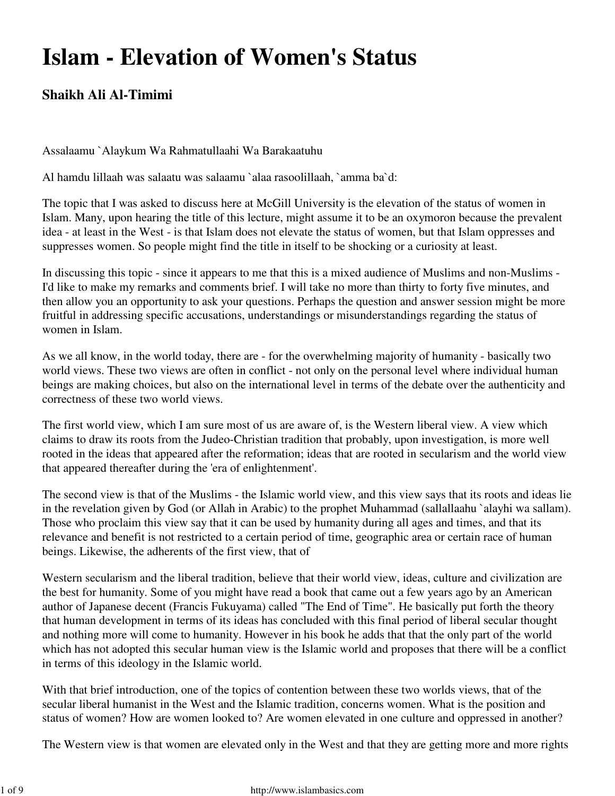## **Islam - Elevation of Women's Status**

## **Shaikh Ali Al-Timimi**

Assalaamu `Alaykum Wa Rahmatullaahi Wa Barakaatuhu

Al hamdu lillaah was salaatu was salaamu `alaa rasoolillaah, `amma ba`d:

The topic that I was asked to discuss here at McGill University is the elevation of the status of women in Islam. Many, upon hearing the title of this lecture, might assume it to be an oxymoron because the prevalent idea - at least in the West - is that Islam does not elevate the status of women, but that Islam oppresses and suppresses women. So people might find the title in itself to be shocking or a curiosity at least.

In discussing this topic - since it appears to me that this is a mixed audience of Muslims and non-Muslims - I'd like to make my remarks and comments brief. I will take no more than thirty to forty five minutes, and then allow you an opportunity to ask your questions. Perhaps the question and answer session might be more fruitful in addressing specific accusations, understandings or misunderstandings regarding the status of women in Islam.

As we all know, in the world today, there are - for the overwhelming majority of humanity - basically two world views. These two views are often in conflict - not only on the personal level where individual human beings are making choices, but also on the international level in terms of the debate over the authenticity and correctness of these two world views.

The first world view, which I am sure most of us are aware of, is the Western liberal view. A view which claims to draw its roots from the Judeo-Christian tradition that probably, upon investigation, is more well rooted in the ideas that appeared after the reformation; ideas that are rooted in secularism and the world view that appeared thereafter during the 'era of enlightenment'.

The second view is that of the Muslims - the Islamic world view, and this view says that its roots and ideas lie in the revelation given by God (or Allah in Arabic) to the prophet Muhammad (sallallaahu `alayhi wa sallam). Those who proclaim this view say that it can be used by humanity during all ages and times, and that its relevance and benefit is not restricted to a certain period of time, geographic area or certain race of human beings. Likewise, the adherents of the first view, that of

Western secularism and the liberal tradition, believe that their world view, ideas, culture and civilization are the best for humanity. Some of you might have read a book that came out a few years ago by an American author of Japanese decent (Francis Fukuyama) called "The End of Time". He basically put forth the theory that human development in terms of its ideas has concluded with this final period of liberal secular thought and nothing more will come to humanity. However in his book he adds that that the only part of the world which has not adopted this secular human view is the Islamic world and proposes that there will be a conflict in terms of this ideology in the Islamic world.

With that brief introduction, one of the topics of contention between these two worlds views, that of the secular liberal humanist in the West and the Islamic tradition, concerns women. What is the position and status of women? How are women looked to? Are women elevated in one culture and oppressed in another?

The Western view is that women are elevated only in the West and that they are getting more and more rights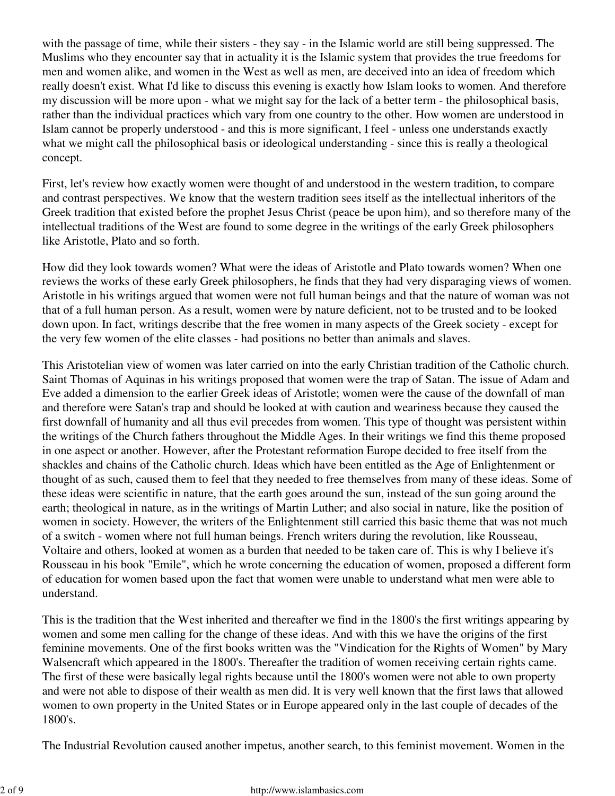with the passage of time, while their sisters - they say - in the Islamic world are still being suppressed. The Muslims who they encounter say that in actuality it is the Islamic system that provides the true freedoms for men and women alike, and women in the West as well as men, are deceived into an idea of freedom which really doesn't exist. What I'd like to discuss this evening is exactly how Islam looks to women. And therefore my discussion will be more upon - what we might say for the lack of a better term - the philosophical basis, rather than the individual practices which vary from one country to the other. How women are understood in Islam cannot be properly understood - and this is more significant, I feel - unless one understands exactly what we might call the philosophical basis or ideological understanding - since this is really a theological concept.

First, let's review how exactly women were thought of and understood in the western tradition, to compare and contrast perspectives. We know that the western tradition sees itself as the intellectual inheritors of the Greek tradition that existed before the prophet Jesus Christ (peace be upon him), and so therefore many of the intellectual traditions of the West are found to some degree in the writings of the early Greek philosophers like Aristotle, Plato and so forth.

How did they look towards women? What were the ideas of Aristotle and Plato towards women? When one reviews the works of these early Greek philosophers, he finds that they had very disparaging views of women. Aristotle in his writings argued that women were not full human beings and that the nature of woman was not that of a full human person. As a result, women were by nature deficient, not to be trusted and to be looked down upon. In fact, writings describe that the free women in many aspects of the Greek society - except for the very few women of the elite classes - had positions no better than animals and slaves.

This Aristotelian view of women was later carried on into the early Christian tradition of the Catholic church. Saint Thomas of Aquinas in his writings proposed that women were the trap of Satan. The issue of Adam and Eve added a dimension to the earlier Greek ideas of Aristotle; women were the cause of the downfall of man and therefore were Satan's trap and should be looked at with caution and weariness because they caused the first downfall of humanity and all thus evil precedes from women. This type of thought was persistent within the writings of the Church fathers throughout the Middle Ages. In their writings we find this theme proposed in one aspect or another. However, after the Protestant reformation Europe decided to free itself from the shackles and chains of the Catholic church. Ideas which have been entitled as the Age of Enlightenment or thought of as such, caused them to feel that they needed to free themselves from many of these ideas. Some of these ideas were scientific in nature, that the earth goes around the sun, instead of the sun going around the earth; theological in nature, as in the writings of Martin Luther; and also social in nature, like the position of women in society. However, the writers of the Enlightenment still carried this basic theme that was not much of a switch - women where not full human beings. French writers during the revolution, like Rousseau, Voltaire and others, looked at women as a burden that needed to be taken care of. This is why I believe it's Rousseau in his book "Emile", which he wrote concerning the education of women, proposed a different form of education for women based upon the fact that women were unable to understand what men were able to understand.

This is the tradition that the West inherited and thereafter we find in the 1800's the first writings appearing by women and some men calling for the change of these ideas. And with this we have the origins of the first feminine movements. One of the first books written was the "Vindication for the Rights of Women" by Mary Walsencraft which appeared in the 1800's. Thereafter the tradition of women receiving certain rights came. The first of these were basically legal rights because until the 1800's women were not able to own property and were not able to dispose of their wealth as men did. It is very well known that the first laws that allowed women to own property in the United States or in Europe appeared only in the last couple of decades of the 1800's.

The Industrial Revolution caused another impetus, another search, to this feminist movement. Women in the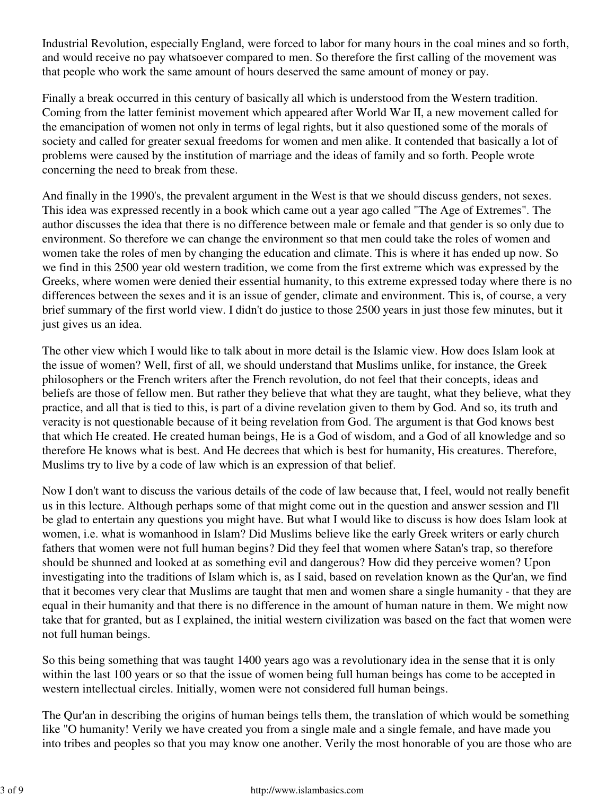Industrial Revolution, especially England, were forced to labor for many hours in the coal mines and so forth, and would receive no pay whatsoever compared to men. So therefore the first calling of the movement was that people who work the same amount of hours deserved the same amount of money or pay.

Finally a break occurred in this century of basically all which is understood from the Western tradition. Coming from the latter feminist movement which appeared after World War II, a new movement called for the emancipation of women not only in terms of legal rights, but it also questioned some of the morals of society and called for greater sexual freedoms for women and men alike. It contended that basically a lot of problems were caused by the institution of marriage and the ideas of family and so forth. People wrote concerning the need to break from these.

And finally in the 1990's, the prevalent argument in the West is that we should discuss genders, not sexes. This idea was expressed recently in a book which came out a year ago called "The Age of Extremes". The author discusses the idea that there is no difference between male or female and that gender is so only due to environment. So therefore we can change the environment so that men could take the roles of women and women take the roles of men by changing the education and climate. This is where it has ended up now. So we find in this 2500 year old western tradition, we come from the first extreme which was expressed by the Greeks, where women were denied their essential humanity, to this extreme expressed today where there is no differences between the sexes and it is an issue of gender, climate and environment. This is, of course, a very brief summary of the first world view. I didn't do justice to those 2500 years in just those few minutes, but it just gives us an idea.

The other view which I would like to talk about in more detail is the Islamic view. How does Islam look at the issue of women? Well, first of all, we should understand that Muslims unlike, for instance, the Greek philosophers or the French writers after the French revolution, do not feel that their concepts, ideas and beliefs are those of fellow men. But rather they believe that what they are taught, what they believe, what they practice, and all that is tied to this, is part of a divine revelation given to them by God. And so, its truth and veracity is not questionable because of it being revelation from God. The argument is that God knows best that which He created. He created human beings, He is a God of wisdom, and a God of all knowledge and so therefore He knows what is best. And He decrees that which is best for humanity, His creatures. Therefore, Muslims try to live by a code of law which is an expression of that belief.

Now I don't want to discuss the various details of the code of law because that, I feel, would not really benefit us in this lecture. Although perhaps some of that might come out in the question and answer session and I'll be glad to entertain any questions you might have. But what I would like to discuss is how does Islam look at women, i.e. what is womanhood in Islam? Did Muslims believe like the early Greek writers or early church fathers that women were not full human begins? Did they feel that women where Satan's trap, so therefore should be shunned and looked at as something evil and dangerous? How did they perceive women? Upon investigating into the traditions of Islam which is, as I said, based on revelation known as the Qur'an, we find that it becomes very clear that Muslims are taught that men and women share a single humanity - that they are equal in their humanity and that there is no difference in the amount of human nature in them. We might now take that for granted, but as I explained, the initial western civilization was based on the fact that women were not full human beings.

So this being something that was taught 1400 years ago was a revolutionary idea in the sense that it is only within the last 100 years or so that the issue of women being full human beings has come to be accepted in western intellectual circles. Initially, women were not considered full human beings.

The Qur'an in describing the origins of human beings tells them, the translation of which would be something like "O humanity! Verily we have created you from a single male and a single female, and have made you into tribes and peoples so that you may know one another. Verily the most honorable of you are those who are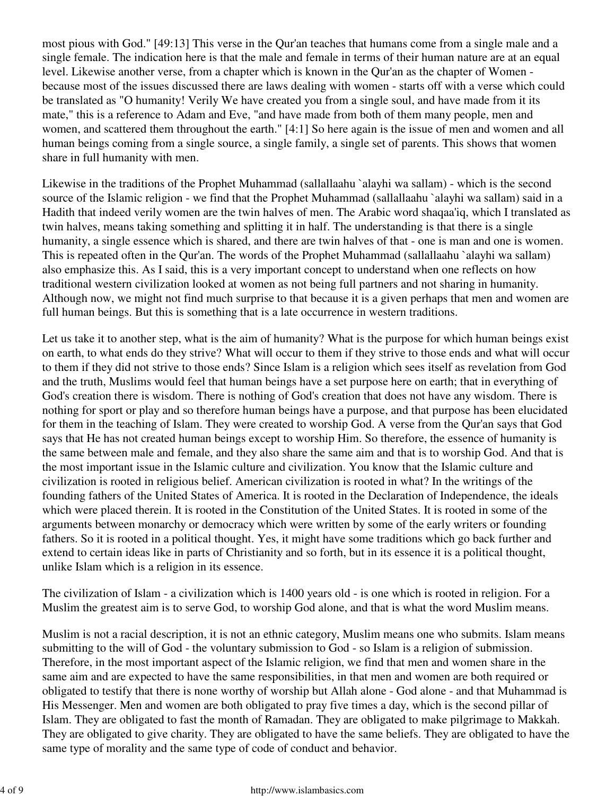most pious with God." [49:13] This verse in the Qur'an teaches that humans come from a single male and a single female. The indication here is that the male and female in terms of their human nature are at an equal level. Likewise another verse, from a chapter which is known in the Qur'an as the chapter of Women because most of the issues discussed there are laws dealing with women - starts off with a verse which could be translated as "O humanity! Verily We have created you from a single soul, and have made from it its mate," this is a reference to Adam and Eve, "and have made from both of them many people, men and women, and scattered them throughout the earth." [4:1] So here again is the issue of men and women and all human beings coming from a single source, a single family, a single set of parents. This shows that women share in full humanity with men.

Likewise in the traditions of the Prophet Muhammad (sallallaahu `alayhi wa sallam) - which is the second source of the Islamic religion - we find that the Prophet Muhammad (sallallaahu `alayhi wa sallam) said in a Hadith that indeed verily women are the twin halves of men. The Arabic word shaqaa'iq, which I translated as twin halves, means taking something and splitting it in half. The understanding is that there is a single humanity, a single essence which is shared, and there are twin halves of that - one is man and one is women. This is repeated often in the Qur'an. The words of the Prophet Muhammad (sallallaahu `alayhi wa sallam) also emphasize this. As I said, this is a very important concept to understand when one reflects on how traditional western civilization looked at women as not being full partners and not sharing in humanity. Although now, we might not find much surprise to that because it is a given perhaps that men and women are full human beings. But this is something that is a late occurrence in western traditions.

Let us take it to another step, what is the aim of humanity? What is the purpose for which human beings exist on earth, to what ends do they strive? What will occur to them if they strive to those ends and what will occur to them if they did not strive to those ends? Since Islam is a religion which sees itself as revelation from God and the truth, Muslims would feel that human beings have a set purpose here on earth; that in everything of God's creation there is wisdom. There is nothing of God's creation that does not have any wisdom. There is nothing for sport or play and so therefore human beings have a purpose, and that purpose has been elucidated for them in the teaching of Islam. They were created to worship God. A verse from the Qur'an says that God says that He has not created human beings except to worship Him. So therefore, the essence of humanity is the same between male and female, and they also share the same aim and that is to worship God. And that is the most important issue in the Islamic culture and civilization. You know that the Islamic culture and civilization is rooted in religious belief. American civilization is rooted in what? In the writings of the founding fathers of the United States of America. It is rooted in the Declaration of Independence, the ideals which were placed therein. It is rooted in the Constitution of the United States. It is rooted in some of the arguments between monarchy or democracy which were written by some of the early writers or founding fathers. So it is rooted in a political thought. Yes, it might have some traditions which go back further and extend to certain ideas like in parts of Christianity and so forth, but in its essence it is a political thought, unlike Islam which is a religion in its essence.

The civilization of Islam - a civilization which is 1400 years old - is one which is rooted in religion. For a Muslim the greatest aim is to serve God, to worship God alone, and that is what the word Muslim means.

Muslim is not a racial description, it is not an ethnic category, Muslim means one who submits. Islam means submitting to the will of God - the voluntary submission to God - so Islam is a religion of submission. Therefore, in the most important aspect of the Islamic religion, we find that men and women share in the same aim and are expected to have the same responsibilities, in that men and women are both required or obligated to testify that there is none worthy of worship but Allah alone - God alone - and that Muhammad is His Messenger. Men and women are both obligated to pray five times a day, which is the second pillar of Islam. They are obligated to fast the month of Ramadan. They are obligated to make pilgrimage to Makkah. They are obligated to give charity. They are obligated to have the same beliefs. They are obligated to have the same type of morality and the same type of code of conduct and behavior.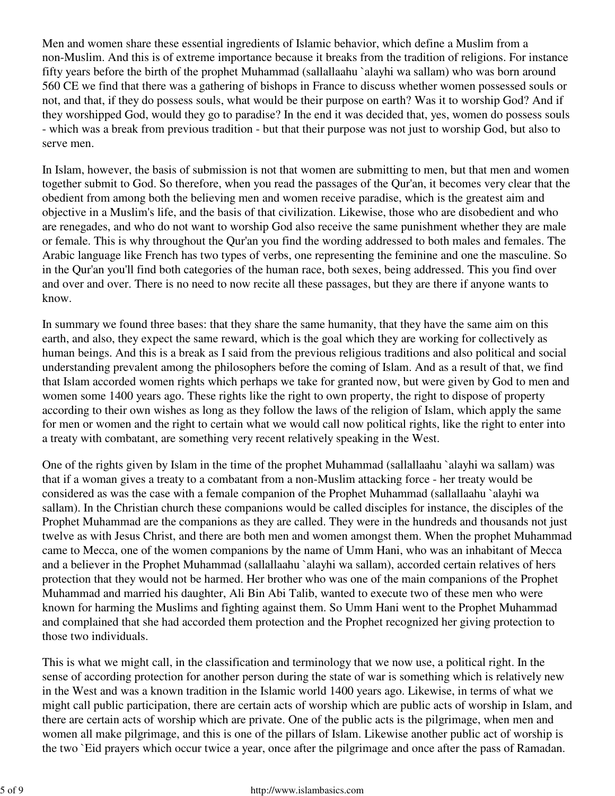Men and women share these essential ingredients of Islamic behavior, which define a Muslim from a non-Muslim. And this is of extreme importance because it breaks from the tradition of religions. For instance fifty years before the birth of the prophet Muhammad (sallallaahu `alayhi wa sallam) who was born around 560 CE we find that there was a gathering of bishops in France to discuss whether women possessed souls or not, and that, if they do possess souls, what would be their purpose on earth? Was it to worship God? And if they worshipped God, would they go to paradise? In the end it was decided that, yes, women do possess souls - which was a break from previous tradition - but that their purpose was not just to worship God, but also to serve men.

In Islam, however, the basis of submission is not that women are submitting to men, but that men and women together submit to God. So therefore, when you read the passages of the Qur'an, it becomes very clear that the obedient from among both the believing men and women receive paradise, which is the greatest aim and objective in a Muslim's life, and the basis of that civilization. Likewise, those who are disobedient and who are renegades, and who do not want to worship God also receive the same punishment whether they are male or female. This is why throughout the Qur'an you find the wording addressed to both males and females. The Arabic language like French has two types of verbs, one representing the feminine and one the masculine. So in the Qur'an you'll find both categories of the human race, both sexes, being addressed. This you find over and over and over. There is no need to now recite all these passages, but they are there if anyone wants to know.

In summary we found three bases: that they share the same humanity, that they have the same aim on this earth, and also, they expect the same reward, which is the goal which they are working for collectively as human beings. And this is a break as I said from the previous religious traditions and also political and social understanding prevalent among the philosophers before the coming of Islam. And as a result of that, we find that Islam accorded women rights which perhaps we take for granted now, but were given by God to men and women some 1400 years ago. These rights like the right to own property, the right to dispose of property according to their own wishes as long as they follow the laws of the religion of Islam, which apply the same for men or women and the right to certain what we would call now political rights, like the right to enter into a treaty with combatant, are something very recent relatively speaking in the West.

One of the rights given by Islam in the time of the prophet Muhammad (sallallaahu `alayhi wa sallam) was that if a woman gives a treaty to a combatant from a non-Muslim attacking force - her treaty would be considered as was the case with a female companion of the Prophet Muhammad (sallallaahu `alayhi wa sallam). In the Christian church these companions would be called disciples for instance, the disciples of the Prophet Muhammad are the companions as they are called. They were in the hundreds and thousands not just twelve as with Jesus Christ, and there are both men and women amongst them. When the prophet Muhammad came to Mecca, one of the women companions by the name of Umm Hani, who was an inhabitant of Mecca and a believer in the Prophet Muhammad (sallallaahu `alayhi wa sallam), accorded certain relatives of hers protection that they would not be harmed. Her brother who was one of the main companions of the Prophet Muhammad and married his daughter, Ali Bin Abi Talib, wanted to execute two of these men who were known for harming the Muslims and fighting against them. So Umm Hani went to the Prophet Muhammad and complained that she had accorded them protection and the Prophet recognized her giving protection to those two individuals.

This is what we might call, in the classification and terminology that we now use, a political right. In the sense of according protection for another person during the state of war is something which is relatively new in the West and was a known tradition in the Islamic world 1400 years ago. Likewise, in terms of what we might call public participation, there are certain acts of worship which are public acts of worship in Islam, and there are certain acts of worship which are private. One of the public acts is the pilgrimage, when men and women all make pilgrimage, and this is one of the pillars of Islam. Likewise another public act of worship is the two `Eid prayers which occur twice a year, once after the pilgrimage and once after the pass of Ramadan.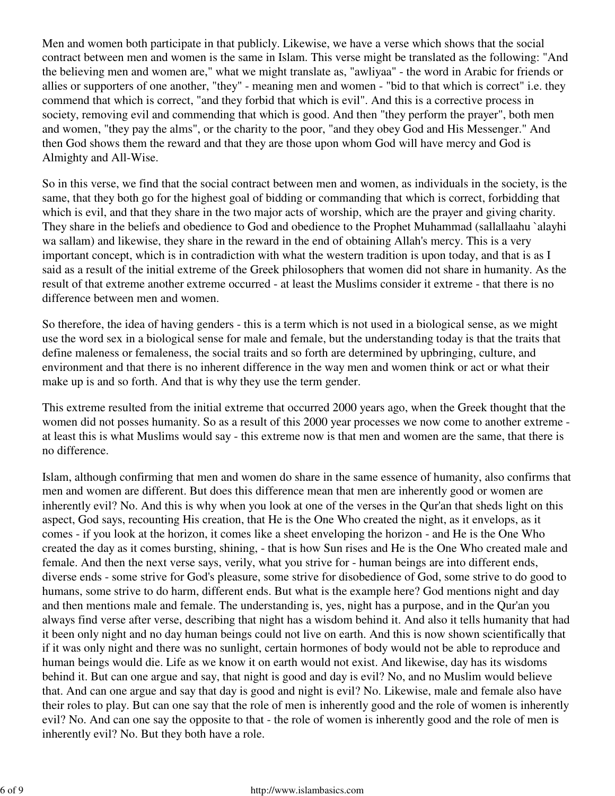Men and women both participate in that publicly. Likewise, we have a verse which shows that the social contract between men and women is the same in Islam. This verse might be translated as the following: "And the believing men and women are," what we might translate as, "awliyaa" - the word in Arabic for friends or allies or supporters of one another, "they" - meaning men and women - "bid to that which is correct" i.e. they commend that which is correct, "and they forbid that which is evil". And this is a corrective process in society, removing evil and commending that which is good. And then "they perform the prayer", both men and women, "they pay the alms", or the charity to the poor, "and they obey God and His Messenger." And then God shows them the reward and that they are those upon whom God will have mercy and God is Almighty and All-Wise.

So in this verse, we find that the social contract between men and women, as individuals in the society, is the same, that they both go for the highest goal of bidding or commanding that which is correct, forbidding that which is evil, and that they share in the two major acts of worship, which are the prayer and giving charity. They share in the beliefs and obedience to God and obedience to the Prophet Muhammad (sallallaahu `alayhi wa sallam) and likewise, they share in the reward in the end of obtaining Allah's mercy. This is a very important concept, which is in contradiction with what the western tradition is upon today, and that is as I said as a result of the initial extreme of the Greek philosophers that women did not share in humanity. As the result of that extreme another extreme occurred - at least the Muslims consider it extreme - that there is no difference between men and women.

So therefore, the idea of having genders - this is a term which is not used in a biological sense, as we might use the word sex in a biological sense for male and female, but the understanding today is that the traits that define maleness or femaleness, the social traits and so forth are determined by upbringing, culture, and environment and that there is no inherent difference in the way men and women think or act or what their make up is and so forth. And that is why they use the term gender.

This extreme resulted from the initial extreme that occurred 2000 years ago, when the Greek thought that the women did not posses humanity. So as a result of this 2000 year processes we now come to another extreme at least this is what Muslims would say - this extreme now is that men and women are the same, that there is no difference.

Islam, although confirming that men and women do share in the same essence of humanity, also confirms that men and women are different. But does this difference mean that men are inherently good or women are inherently evil? No. And this is why when you look at one of the verses in the Qur'an that sheds light on this aspect, God says, recounting His creation, that He is the One Who created the night, as it envelops, as it comes - if you look at the horizon, it comes like a sheet enveloping the horizon - and He is the One Who created the day as it comes bursting, shining, - that is how Sun rises and He is the One Who created male and female. And then the next verse says, verily, what you strive for - human beings are into different ends, diverse ends - some strive for God's pleasure, some strive for disobedience of God, some strive to do good to humans, some strive to do harm, different ends. But what is the example here? God mentions night and day and then mentions male and female. The understanding is, yes, night has a purpose, and in the Qur'an you always find verse after verse, describing that night has a wisdom behind it. And also it tells humanity that had it been only night and no day human beings could not live on earth. And this is now shown scientifically that if it was only night and there was no sunlight, certain hormones of body would not be able to reproduce and human beings would die. Life as we know it on earth would not exist. And likewise, day has its wisdoms behind it. But can one argue and say, that night is good and day is evil? No, and no Muslim would believe that. And can one argue and say that day is good and night is evil? No. Likewise, male and female also have their roles to play. But can one say that the role of men is inherently good and the role of women is inherently evil? No. And can one say the opposite to that - the role of women is inherently good and the role of men is inherently evil? No. But they both have a role.

## 6 of 9 http://www.islambasics.com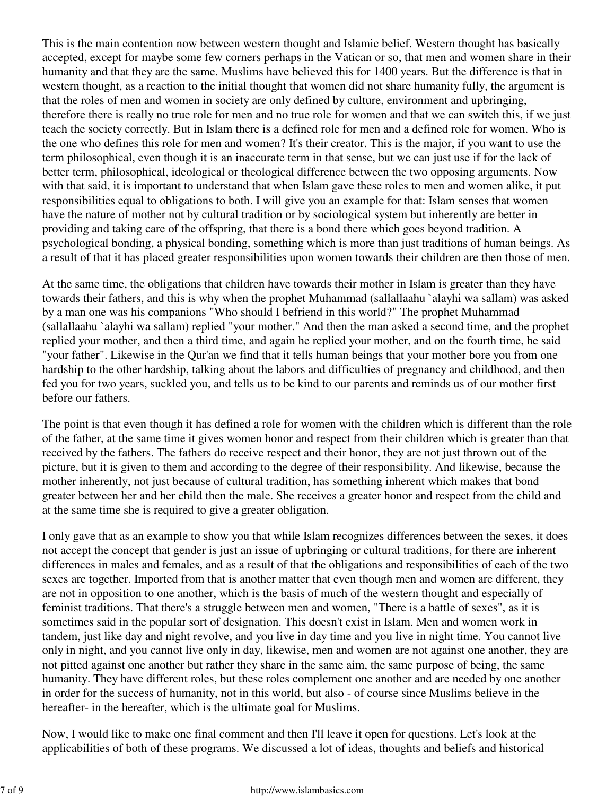This is the main contention now between western thought and Islamic belief. Western thought has basically accepted, except for maybe some few corners perhaps in the Vatican or so, that men and women share in their humanity and that they are the same. Muslims have believed this for 1400 years. But the difference is that in western thought, as a reaction to the initial thought that women did not share humanity fully, the argument is that the roles of men and women in society are only defined by culture, environment and upbringing, therefore there is really no true role for men and no true role for women and that we can switch this, if we just teach the society correctly. But in Islam there is a defined role for men and a defined role for women. Who is the one who defines this role for men and women? It's their creator. This is the major, if you want to use the term philosophical, even though it is an inaccurate term in that sense, but we can just use if for the lack of better term, philosophical, ideological or theological difference between the two opposing arguments. Now with that said, it is important to understand that when Islam gave these roles to men and women alike, it put responsibilities equal to obligations to both. I will give you an example for that: Islam senses that women have the nature of mother not by cultural tradition or by sociological system but inherently are better in providing and taking care of the offspring, that there is a bond there which goes beyond tradition. A psychological bonding, a physical bonding, something which is more than just traditions of human beings. As a result of that it has placed greater responsibilities upon women towards their children are then those of men.

At the same time, the obligations that children have towards their mother in Islam is greater than they have towards their fathers, and this is why when the prophet Muhammad (sallallaahu `alayhi wa sallam) was asked by a man one was his companions "Who should I befriend in this world?" The prophet Muhammad (sallallaahu `alayhi wa sallam) replied "your mother." And then the man asked a second time, and the prophet replied your mother, and then a third time, and again he replied your mother, and on the fourth time, he said "your father". Likewise in the Qur'an we find that it tells human beings that your mother bore you from one hardship to the other hardship, talking about the labors and difficulties of pregnancy and childhood, and then fed you for two years, suckled you, and tells us to be kind to our parents and reminds us of our mother first before our fathers.

The point is that even though it has defined a role for women with the children which is different than the role of the father, at the same time it gives women honor and respect from their children which is greater than that received by the fathers. The fathers do receive respect and their honor, they are not just thrown out of the picture, but it is given to them and according to the degree of their responsibility. And likewise, because the mother inherently, not just because of cultural tradition, has something inherent which makes that bond greater between her and her child then the male. She receives a greater honor and respect from the child and at the same time she is required to give a greater obligation.

I only gave that as an example to show you that while Islam recognizes differences between the sexes, it does not accept the concept that gender is just an issue of upbringing or cultural traditions, for there are inherent differences in males and females, and as a result of that the obligations and responsibilities of each of the two sexes are together. Imported from that is another matter that even though men and women are different, they are not in opposition to one another, which is the basis of much of the western thought and especially of feminist traditions. That there's a struggle between men and women, "There is a battle of sexes", as it is sometimes said in the popular sort of designation. This doesn't exist in Islam. Men and women work in tandem, just like day and night revolve, and you live in day time and you live in night time. You cannot live only in night, and you cannot live only in day, likewise, men and women are not against one another, they are not pitted against one another but rather they share in the same aim, the same purpose of being, the same humanity. They have different roles, but these roles complement one another and are needed by one another in order for the success of humanity, not in this world, but also - of course since Muslims believe in the hereafter- in the hereafter, which is the ultimate goal for Muslims.

Now, I would like to make one final comment and then I'll leave it open for questions. Let's look at the applicabilities of both of these programs. We discussed a lot of ideas, thoughts and beliefs and historical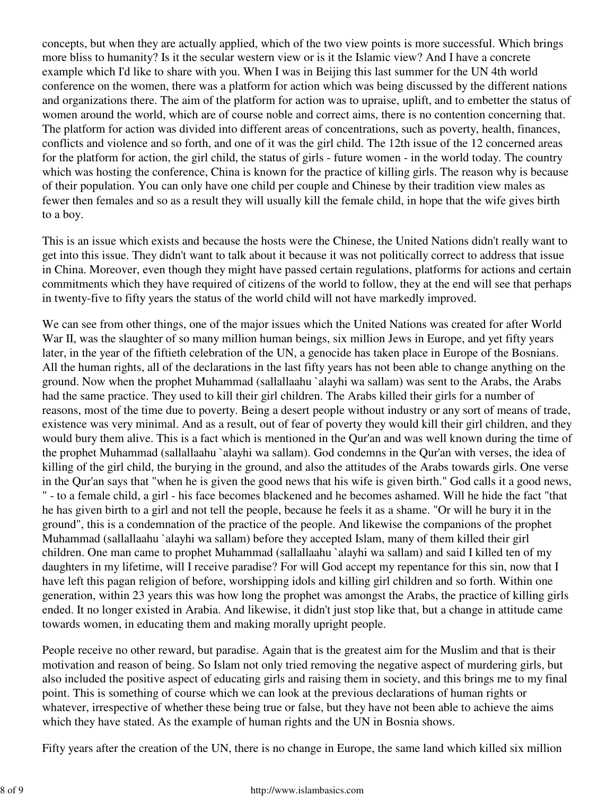concepts, but when they are actually applied, which of the two view points is more successful. Which brings more bliss to humanity? Is it the secular western view or is it the Islamic view? And I have a concrete example which I'd like to share with you. When I was in Beijing this last summer for the UN 4th world conference on the women, there was a platform for action which was being discussed by the different nations and organizations there. The aim of the platform for action was to upraise, uplift, and to embetter the status of women around the world, which are of course noble and correct aims, there is no contention concerning that. The platform for action was divided into different areas of concentrations, such as poverty, health, finances, conflicts and violence and so forth, and one of it was the girl child. The 12th issue of the 12 concerned areas for the platform for action, the girl child, the status of girls - future women - in the world today. The country which was hosting the conference, China is known for the practice of killing girls. The reason why is because of their population. You can only have one child per couple and Chinese by their tradition view males as fewer then females and so as a result they will usually kill the female child, in hope that the wife gives birth to a boy.

This is an issue which exists and because the hosts were the Chinese, the United Nations didn't really want to get into this issue. They didn't want to talk about it because it was not politically correct to address that issue in China. Moreover, even though they might have passed certain regulations, platforms for actions and certain commitments which they have required of citizens of the world to follow, they at the end will see that perhaps in twenty-five to fifty years the status of the world child will not have markedly improved.

We can see from other things, one of the major issues which the United Nations was created for after World War II, was the slaughter of so many million human beings, six million Jews in Europe, and yet fifty years later, in the year of the fiftieth celebration of the UN, a genocide has taken place in Europe of the Bosnians. All the human rights, all of the declarations in the last fifty years has not been able to change anything on the ground. Now when the prophet Muhammad (sallallaahu `alayhi wa sallam) was sent to the Arabs, the Arabs had the same practice. They used to kill their girl children. The Arabs killed their girls for a number of reasons, most of the time due to poverty. Being a desert people without industry or any sort of means of trade, existence was very minimal. And as a result, out of fear of poverty they would kill their girl children, and they would bury them alive. This is a fact which is mentioned in the Qur'an and was well known during the time of the prophet Muhammad (sallallaahu `alayhi wa sallam). God condemns in the Qur'an with verses, the idea of killing of the girl child, the burying in the ground, and also the attitudes of the Arabs towards girls. One verse in the Qur'an says that "when he is given the good news that his wife is given birth." God calls it a good news, " - to a female child, a girl - his face becomes blackened and he becomes ashamed. Will he hide the fact "that he has given birth to a girl and not tell the people, because he feels it as a shame. "Or will he bury it in the ground", this is a condemnation of the practice of the people. And likewise the companions of the prophet Muhammad (sallallaahu `alayhi wa sallam) before they accepted Islam, many of them killed their girl children. One man came to prophet Muhammad (sallallaahu `alayhi wa sallam) and said I killed ten of my daughters in my lifetime, will I receive paradise? For will God accept my repentance for this sin, now that I have left this pagan religion of before, worshipping idols and killing girl children and so forth. Within one generation, within 23 years this was how long the prophet was amongst the Arabs, the practice of killing girls ended. It no longer existed in Arabia. And likewise, it didn't just stop like that, but a change in attitude came towards women, in educating them and making morally upright people.

People receive no other reward, but paradise. Again that is the greatest aim for the Muslim and that is their motivation and reason of being. So Islam not only tried removing the negative aspect of murdering girls, but also included the positive aspect of educating girls and raising them in society, and this brings me to my final point. This is something of course which we can look at the previous declarations of human rights or whatever, irrespective of whether these being true or false, but they have not been able to achieve the aims which they have stated. As the example of human rights and the UN in Bosnia shows.

Fifty years after the creation of the UN, there is no change in Europe, the same land which killed six million